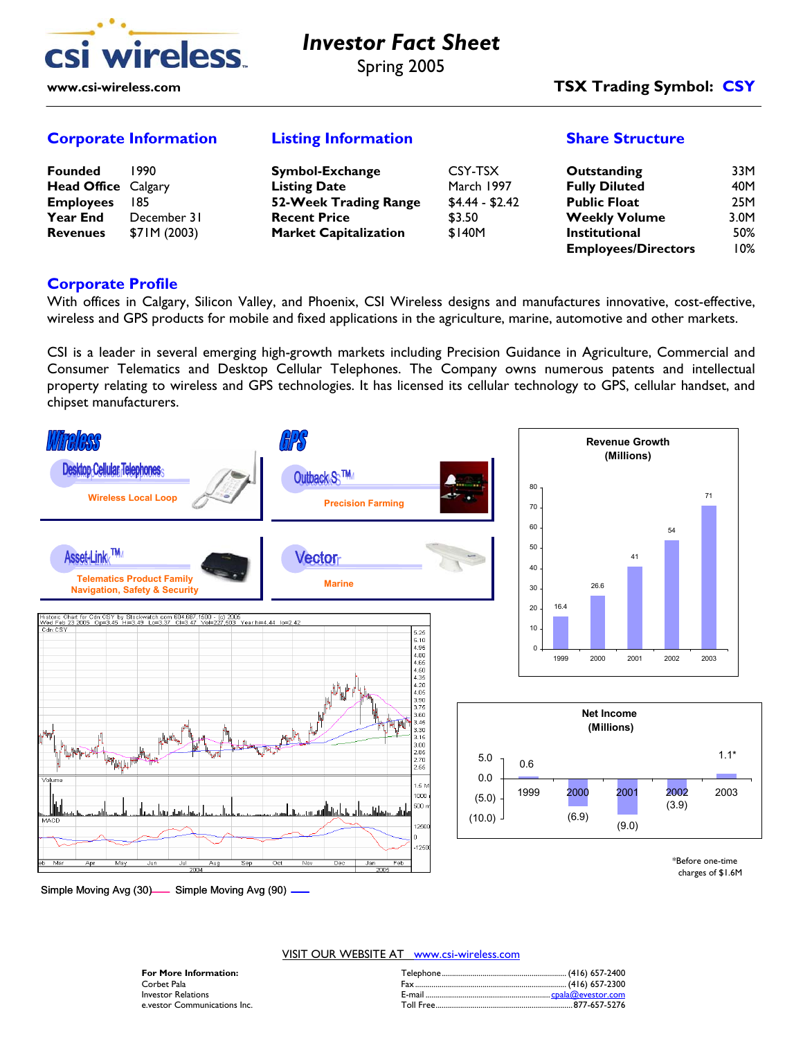

# *Investor Fact Sheet* Spring 2005

### **www.csi-wireless.com TSX Trading Symbol: CSY**

#### **Corporate Information Listing Information Share Structure**

| <b>Founded</b>             | 1990         | Symbol-Exchange              | CSY-TSX         | Outstanding                | 33M  |
|----------------------------|--------------|------------------------------|-----------------|----------------------------|------|
| <b>Head Office Calgary</b> |              | <b>Listing Date</b>          | March 1997      | <b>Fully Diluted</b>       | 40M  |
| <b>Employees</b>           | 185          | 52-Week Trading Range        | $$4.44 - $2.42$ | <b>Public Float</b>        | 25M  |
| <b>Year End</b>            | December 31  | <b>Recent Price</b>          | \$3.50          | <b>Weekly Volume</b>       | 3.0M |
| <b>Revenues</b>            | \$71M (2003) | <b>Market Capitalization</b> | \$140M          | <b>Institutional</b>       | 50%  |
|                            |              |                              |                 | <b>Employees/Directors</b> | 10%  |

#### **Corporate Profile**

With offices in Calgary, Silicon Valley, and Phoenix, CSI Wireless designs and manufactures innovative, cost-effective, wireless and GPS products for mobile and fixed applications in the agriculture, marine, automotive and other markets.

CSI is a leader in several emerging high-growth markets including Precision Guidance in Agriculture, Commercial and Consumer Telematics and Desktop Cellular Telephones. The Company owns numerous patents and intellectual property relating to wireless and GPS technologies. It has licensed its cellular technology to GPS, cellular handset, and chipset manufacturers.



VISIT OUR WEBSITE AT www.csi-wireless.com

| <b>For More Information:</b> |        |
|------------------------------|--------|
| Corbet Pala                  |        |
| Investor Relations           | F-mail |
| e vestor Communications Inc. |        |

#### **For More Information:** Telephone............................................................. (416) 657-2400 Corbet Pala Fax.......................................................................... (416) 657-2300 Investor Relations E-mail ............................................................. cpala@evestor.com